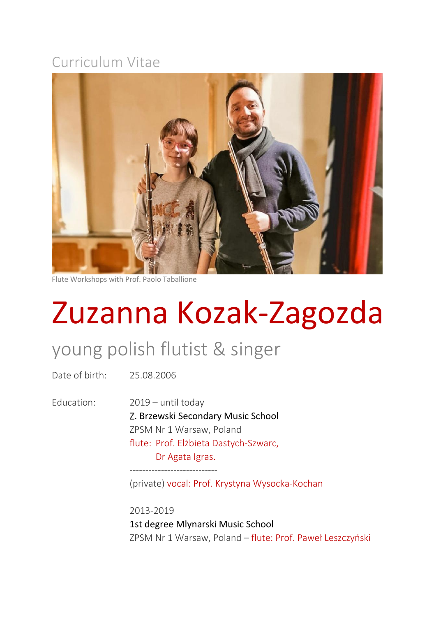## Curriculum Vitae



Flute Workshops with Prof. Paolo Taballione

## Zuzanna Kozak-Zagozda

## young polish flutist & singer

Date of birth: 25.08.2006

Education: 2019 – until today Z. Brzewski Secondary Music School ZPSM Nr 1 Warsaw, Poland flute: Prof. Elżbieta Dastych-Szwarc, Dr Agata Igras.

----------------------------

(private) vocal: Prof. Krystyna Wysocka-Kochan

2013-2019 1st degree Mlynarski Music School ZPSM Nr 1 Warsaw, Poland – flute: Prof. Paweł Leszczyński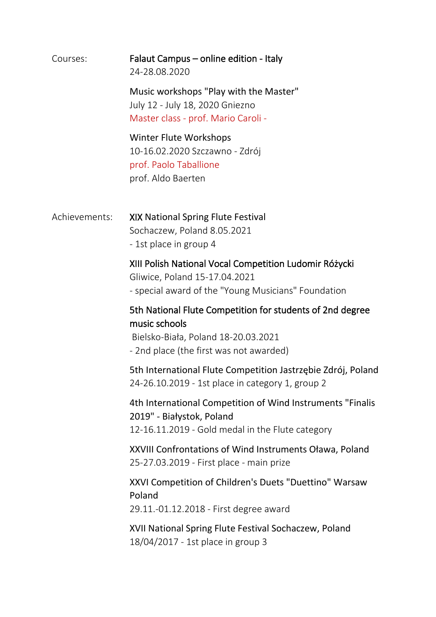| Courses:      | Falaut Campus – online edition - Italy<br>24-28.08.2020                                                                                                      |
|---------------|--------------------------------------------------------------------------------------------------------------------------------------------------------------|
|               | Music workshops "Play with the Master"<br>July 12 - July 18, 2020 Gniezno<br>Master class - prof. Mario Caroli -                                             |
|               | <b>Winter Flute Workshops</b><br>10-16.02.2020 Szczawno - Zdrój<br>prof. Paolo Taballione<br>prof. Aldo Baerten                                              |
| Achievements: | XIX National Spring Flute Festival<br>Sochaczew, Poland 8.05.2021<br>- 1st place in group 4                                                                  |
|               | XIII Polish National Vocal Competition Ludomir Różycki<br>Gliwice, Poland 15-17.04.2021<br>- special award of the "Young Musicians" Foundation               |
|               | 5th National Flute Competition for students of 2nd degree<br>music schools<br>Bielsko-Biała, Poland 18-20.03.2021<br>- 2nd place (the first was not awarded) |
|               | 5th International Flute Competition Jastrzębie Zdrój, Poland<br>24-26.10.2019 - 1st place in category 1, group 2                                             |
|               | 4th International Competition of Wind Instruments "Finalis"<br>2019" - Białystok, Poland<br>12-16.11.2019 - Gold medal in the Flute category                 |
|               | XXVIII Confrontations of Wind Instruments Oława, Poland<br>25-27.03.2019 - First place - main prize                                                          |
|               | XXVI Competition of Children's Duets "Duettino" Warsaw<br>Poland<br>29.11.-01.12.2018 - First degree award                                                   |
|               | XVII National Spring Flute Festival Sochaczew, Poland<br>18/04/2017 - 1st place in group 3                                                                   |
|               |                                                                                                                                                              |